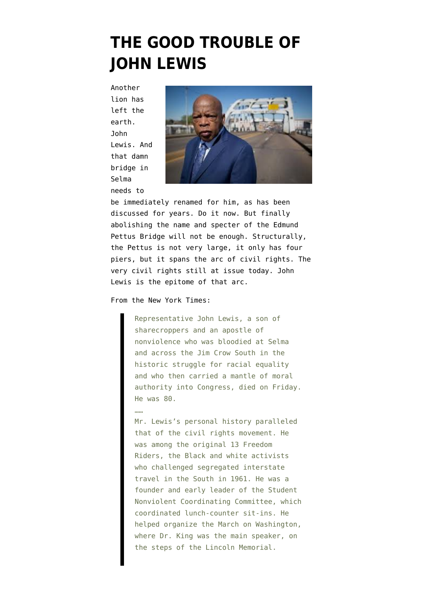## **[THE GOOD TROUBLE OF](https://www.emptywheel.net/2020/07/18/the-good-trouble-of-john-lewis/) [JOHN LEWIS](https://www.emptywheel.net/2020/07/18/the-good-trouble-of-john-lewis/)**

Another lion has left the earth. John Lewis. And that damn bridge in Selma needs to



be immediately renamed for him, as has been discussed for years. Do it now. But finally abolishing the name and specter of the Edmund Pettus Bridge will not be enough. Structurally, the Pettus is not very large, it only has four piers, but it spans the arc of civil rights. The very civil rights still at issue today. John Lewis is the epitome of that arc.

## [From the New York Times:](https://www.nytimes.com/2020/07/17/us/john-lewis-dead.html?action=click&module=Top%20Stories&pgtype=Homepage)

Representative John Lewis, a son of sharecroppers and an apostle of nonviolence who was bloodied at Selma and across the Jim Crow South in the historic struggle for racial equality and who then carried a mantle of moral authority into Congress, died on Friday. He was 80.

## ……

Mr. Lewis's personal history paralleled that of the civil rights movement. He was among the original 13 Freedom Riders, the Black and white activists who challenged segregated interstate travel in the South in 1961. He was a founder and early leader of the Student Nonviolent Coordinating Committee, which coordinated lunch-counter sit-ins. He helped organize the March on Washington, where Dr. King was the main speaker, on the steps of the Lincoln Memorial.